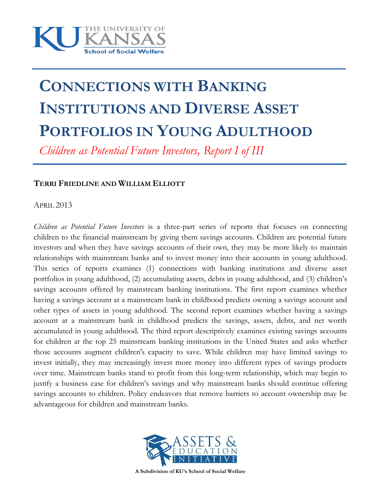

# **CONNECTIONS WITH BANKING INSTITUTIONS AND DIVERSE ASSET PORTFOLIOS IN YOUNG ADULTHOOD**

*Children as Potential Future Investors, Report I of III*

#### **TERRI FRIEDLINE AND WILLIAM ELLIOTT**

APRIL 2013

*Children as Potential Future Investors* is a three-part series of reports that focuses on connecting children to the financial mainstream by giving them savings accounts. Children are potential future investors and when they have savings accounts of their own, they may be more likely to maintain relationships with mainstream banks and to invest money into their accounts in young adulthood. This series of reports examines (1) connections with banking institutions and diverse asset portfolios in young adulthood, (2) accumulating assets, debts in young adulthood, and (3) children's savings accounts offered by mainstream banking institutions. The first report examines whether having a savings account at a mainstream bank in childhood predicts owning a savings account and other types of assets in young adulthood. The second report examines whether having a savings account at a mainstream bank in childhood predicts the savings, assets, debts, and net worth accumulated in young adulthood. The third report descriptively examines existing savings accounts for children at the top 25 mainstream banking institutions in the United States and asks whether those accounts augment children's capacity to save. While children may have limited savings to invest initially, they may increasingly invest more money into different types of savings products over time. Mainstream banks stand to profit from this long-term relationship, which may begin to justify a business case for children's savings and why mainstream banks should continue offering savings accounts to children. Policy endeavors that remove barriers to account ownership may be advantageous for children and mainstream banks.



**A Subdivision of KU's School of Social Welfare**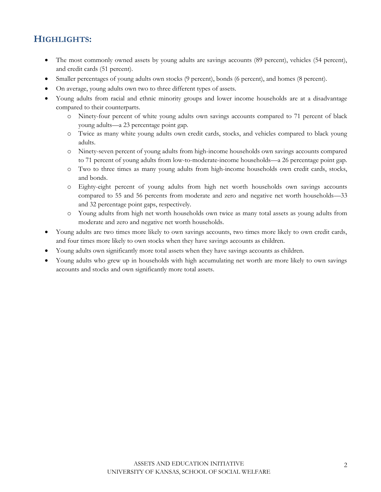# **HIGHLIGHTS:**

- The most commonly owned assets by young adults are savings accounts (89 percent), vehicles (54 percent), and credit cards (51 percent).
- Smaller percentages of young adults own stocks (9 percent), bonds (6 percent), and homes (8 percent).
- On average, young adults own two to three different types of assets.
- Young adults from racial and ethnic minority groups and lower income households are at a disadvantage compared to their counterparts.
	- o Ninety-four percent of white young adults own savings accounts compared to 71 percent of black young adults—a 23 percentage point gap.
	- o Twice as many white young adults own credit cards, stocks, and vehicles compared to black young adults.
	- o Ninety-seven percent of young adults from high-income households own savings accounts compared to 71 percent of young adults from low-to-moderate-income households—a 26 percentage point gap.
	- o Two to three times as many young adults from high-income households own credit cards, stocks, and bonds.
	- o Eighty-eight percent of young adults from high net worth households own savings accounts compared to 55 and 56 percents from moderate and zero and negative net worth households—33 and 32 percentage point gaps, respectively.
	- o Young adults from high net worth households own twice as many total assets as young adults from moderate and zero and negative net worth households.
- Young adults are two times more likely to own savings accounts, two times more likely to own credit cards, and four times more likely to own stocks when they have savings accounts as children.
- Young adults own significantly more total assets when they have savings accounts as children.
- Young adults who grew up in households with high accumulating net worth are more likely to own savings accounts and stocks and own significantly more total assets.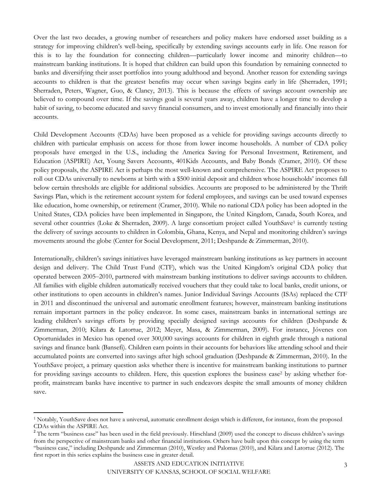Over the last two decades, a growing number of researchers and policy makers have endorsed asset building as a strategy for improving children's well-being, specifically by extending savings accounts early in life. One reason for this is to lay the foundation for connecting children—particularly lower income and minority children—to mainstream banking institutions. It is hoped that children can build upon this foundation by remaining connected to banks and diversifying their asset portfolios into young adulthood and beyond. Another reason for extending savings accounts to children is that the greatest benefits may occur when savings begins early in life (Sherraden, 1991; Sherraden, Peters, Wagner, Guo, & Clancy, 2013). This is because the effects of savings account ownership are believed to compound over time. If the savings goal is several years away, children have a longer time to develop a habit of saving, to become educated and savvy financial consumers, and to invest emotionally and financially into their accounts.

Child Development Accounts (CDAs) have been proposed as a vehicle for providing savings accounts directly to children with particular emphasis on access for those from lower income households. A number of CDA policy proposals have emerged in the U.S., including the America Saving for Personal Investment, Retirement, and Education (ASPIRE) Act, Young Savers Accounts, 401Kids Accounts, and Baby Bonds (Cramer, 2010). Of these policy proposals, the ASPIRE Act is perhaps the most well-known and comprehensive. The ASPIRE Act proposes to roll out CDAs universally to newborns at birth with a \$500 initial deposit and children whose households' incomes fall below certain thresholds are eligible for additional subsidies. Accounts are proposed to be administered by the Thrift Savings Plan, which is the retirement account system for federal employees, and savings can be used toward expenses like education, home ownership, or retirement (Cramer, 2010). While no national CDA policy has been adopted in the United States, CDA policies have been implemented in Singapore, the United Kingdom, Canada, South Korea, and several other countries (Loke & Sherraden, 2009). A large consortium project called YouthSave<sup>1</sup> is currently testing the delivery of savings accounts to children in Colombia, Ghana, Kenya, and Nepal and monitoring children's savings movements around the globe (Center for Social Development, 2011; Deshpande & Zimmerman, 2010).

Internationally, children's savings initiatives have leveraged mainstream banking institutions as key partners in account design and delivery. The Child Trust Fund (CTF), which was the United Kingdom's original CDA policy that operated between 2005‒2010, partnered with mainstream banking institutions to deliver savings accounts to children. All families with eligible children automatically received vouchers that they could take to local banks, credit unions, or other institutions to open accounts in children's names. Junior Individual Savings Accounts (ISAs) replaced the CTF in 2011 and discontinued the universal and automatic enrollment features; however, mainstream banking institutions remain important partners in the policy endeavor. In some cases, mainstream banks in international settings are leading children's savings efforts by providing specially designed savings accounts for children (Deshpande & Zimmerman, 2010; Kilara & Latortue, 2012; Meyer, Masa, & Zimmerman, 2009). For instance, Jóvenes con Oportunidades in Mexico has opened over 300,000 savings accounts for children in eighth grade through a national savings and finance bank (Bansefi). Children earn points in their accounts for behaviors like attending school and their accumulated points are converted into savings after high school graduation (Deshpande & Zimmerman, 2010). In the YouthSave project, a primary question asks whether there is incentive for mainstream banking institutions to partner for providing savings accounts to children. Here, this question explores the business case<sup>2</sup> by asking whether forprofit, mainstream banks have incentive to partner in such endeavors despite the small amounts of money children save.

 $\overline{\phantom{a}}$ <sup>1</sup> Notably, YouthSave does not have a universal, automatic enrollment design which is different, for instance, from the proposed CDAs within the ASPIRE Act.

<sup>&</sup>lt;sup>2</sup> The term "business case" has been used in the field previously. Hirschland (2009) used the concept to discuss children's savings from the perspective of mainstream banks and other financial institutions. Others have built upon this concept by using the term "business case," including Deshpande and Zimmerman (2010), Westley and Palomas (2010), and Kilara and Latortue (2012). The first report in this series explains the business case in greater detail.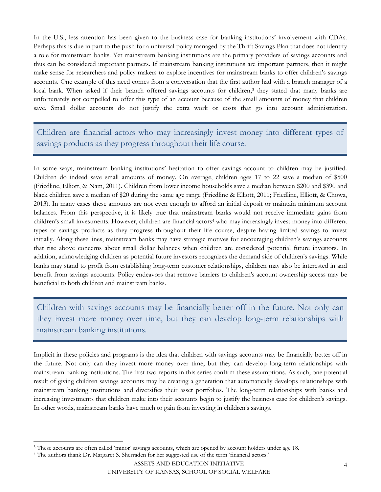In the U.S., less attention has been given to the business case for banking institutions' involvement with CDAs. Perhaps this is due in part to the push for a universal policy managed by the Thrift Savings Plan that does not identify a role for mainstream banks. Yet mainstream banking institutions are the primary providers of savings accounts and thus can be considered important partners. If mainstream banking institutions are important partners, then it might make sense for researchers and policy makers to explore incentives for mainstream banks to offer children's savings accounts. One example of this need comes from a conversation that the first author had with a branch manager of a local bank. When asked if their branch offered savings accounts for children,<sup>3</sup> they stated that many banks are unfortunately not compelled to offer this type of an account because of the small amounts of money that children save. Small dollar accounts do not justify the extra work or costs that go into account administration.

Children are financial actors who may increasingly invest money into different types of savings products as they progress throughout their life course.

In some ways, mainstream banking institutions' hesitation to offer savings account to children may be justified. Children do indeed save small amounts of money. On average, children ages 17 to 22 save a median of \$500 (Friedline, Elliott, & Nam, 2011). Children from lower income households save a median between \$200 and \$390 and black children save a median of \$20 during the same age range (Friedline & Elliott, 2011; Friedline, Elliott, & Chowa, 2013). In many cases these amounts are not even enough to afford an initial deposit or maintain minimum account balances. From this perspective, it is likely true that mainstream banks would not receive immediate gains from children's small investments. However, children are financial actors<sup>4</sup> who may increasingly invest money into different types of savings products as they progress throughout their life course, despite having limited savings to invest initially. Along these lines, mainstream banks may have strategic motives for encouraging children's savings accounts that rise above concerns about small dollar balances when children are considered potential future investors. In addition, acknowledging children as potential future investors recognizes the demand side of children's savings. While banks may stand to profit from establishing long-term customer relationships, children may also be interested in and benefit from savings accounts. Policy endeavors that remove barriers to children's account ownership access may be beneficial to both children and mainstream banks.

Children with savings accounts may be financially better off in the future. Not only can they invest more money over time, but they can develop long-term relationships with mainstream banking institutions.

Implicit in these policies and programs is the idea that children with savings accounts may be financially better off in the future. Not only can they invest more money over time, but they can develop long-term relationships with mainstream banking institutions. The first two reports in this series confirm these assumptions. As such, one potential result of giving children savings accounts may be creating a generation that automatically develops relationships with mainstream banking institutions and diversifies their asset portfolios. The long-term relationships with banks and increasing investments that children make into their accounts begin to justify the business case for children's savings. In other words, mainstream banks have much to gain from investing in children's savings.

 $\overline{\phantom{a}}$ 

<sup>3</sup> These accounts are often called 'minor' savings accounts, which are opened by account holders under age 18.

<sup>4</sup> The authors thank Dr. Margaret S. Sherraden for her suggested use of the term 'financial actors.'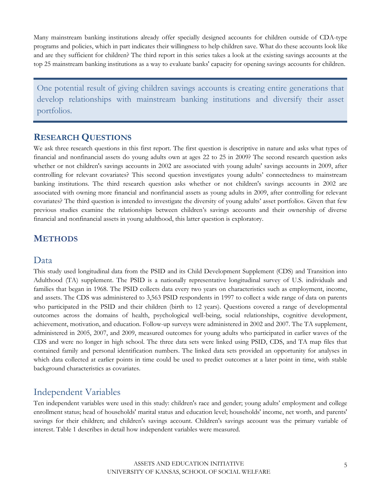Many mainstream banking institutions already offer specially designed accounts for children outside of CDA-type programs and policies, which in part indicates their willingness to help children save. What do these accounts look like and are they sufficient for children? The third report in this series takes a look at the existing savings accounts at the top 25 mainstream banking institutions as a way to evaluate banks' capacity for opening savings accounts for children.

One potential result of giving children savings accounts is creating entire generations that develop relationships with mainstream banking institutions and diversify their asset portfolios.

#### **RESEARCH QUESTIONS**

We ask three research questions in this first report. The first question is descriptive in nature and asks what types of financial and nonfinancial assets do young adults own at ages 22 to 25 in 2009? The second research question asks whether or not children's savings accounts in 2002 are associated with young adults' savings accounts in 2009, after controlling for relevant covariates? This second question investigates young adults' connectedness to mainstream banking institutions. The third research question asks whether or not children's savings accounts in 2002 are associated with owning more financial and nonfinancial assets as young adults in 2009, after controlling for relevant covariates? The third question is intended to investigate the diversity of young adults' asset portfolios. Given that few previous studies examine the relationships between children's savings accounts and their ownership of diverse financial and nonfinancial assets in young adulthood, this latter question is exploratory.

## **METHODS**

#### Data

This study used longitudinal data from the PSID and its Child Development Supplement (CDS) and Transition into Adulthood (TA) supplement. The PSID is a nationally representative longitudinal survey of U.S. individuals and families that began in 1968. The PSID collects data every two years on characteristics such as employment, income, and assets. The CDS was administered to 3,563 PSID respondents in 1997 to collect a wide range of data on parents who participated in the PSID and their children (birth to 12 years). Questions covered a range of developmental outcomes across the domains of health, psychological well-being, social relationships, cognitive development, achievement, motivation, and education. Follow-up surveys were administered in 2002 and 2007. The TA supplement, administered in 2005, 2007, and 2009, measured outcomes for young adults who participated in earlier waves of the CDS and were no longer in high school. The three data sets were linked using PSID, CDS, and TA map files that contained family and personal identification numbers. The linked data sets provided an opportunity for analyses in which data collected at earlier points in time could be used to predict outcomes at a later point in time, with stable background characteristics as covariates.

## Independent Variables

Ten independent variables were used in this study: children's race and gender; young adults' employment and college enrollment status; head of households' marital status and education level; households' income, net worth, and parents' savings for their children; and children's savings account. Children's savings account was the primary variable of interest. Table 1 describes in detail how independent variables were measured.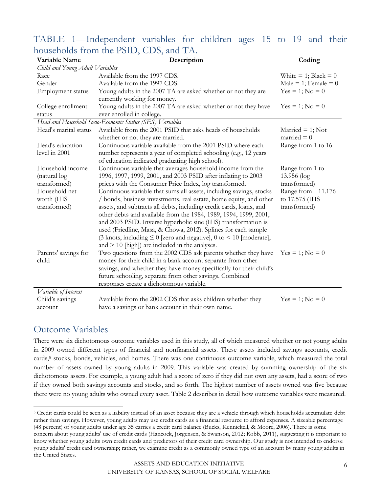# TABLE 1—Independent variables for children ages 15 to 19 and their households from the PSID, CDS, and TA.

| Variable Name                   | Description                                                             | Coding                 |
|---------------------------------|-------------------------------------------------------------------------|------------------------|
| Child and Young Adult Variables |                                                                         |                        |
| Race                            | Available from the 1997 CDS.                                            | White = 1; Black = $0$ |
| Gender                          | Available from the 1997 CDS.                                            | Male = 1; Female = $0$ |
| Employment status               | Young adults in the 2007 TA are asked whether or not they are           | $Yes = 1; No = 0$      |
|                                 | currently working for money.                                            |                        |
| College enrollment              | Young adults in the 2007 TA are asked whether or not they have          | $Yes = 1; No = 0$      |
| status                          | ever enrolled in college.                                               |                        |
|                                 | Head and Household Socio-Economic Status (SES) Variables                |                        |
| Head's marital status           | Available from the 2001 PSID that asks heads of households              | Married $= 1$ ; Not    |
|                                 | whether or not they are married.                                        | $married = 0$          |
| Head's education                | Continuous variable available from the 2001 PSID where each             | Range from 1 to 16     |
| level in 2001                   | number represents a year of completed schooling (e.g., 12 years         |                        |
|                                 | of education indicated graduating high school).                         |                        |
| Household income                | Continuous variable that averages household income from the             | Range from 1 to        |
| (natural log                    | 1996, 1997, 1999, 2001, and 2003 PSID after inflating to 2003           | 13.956 (log            |
| transformed)                    | prices with the Consumer Price Index, log transformed.                  | transformed)           |
| Household net                   | Continuous variable that sums all assets, including savings, stocks     | Range from $-11.176$   |
| worth (IHS                      | / bonds, business investments, real estate, home equity, and other      | to 17.575 (IHS         |
| transformed)                    | assets, and subtracts all debts, including credit cards, loans, and     | transformed)           |
|                                 | other debts and available from the 1984, 1989, 1994, 1999, 2001,        |                        |
|                                 | and 2003 PSID. Inverse hyperbolic sine (IHS) transformation is          |                        |
|                                 | used (Friedline, Masa, & Chowa, 2012). Splines for each sample          |                        |
|                                 | (3 knots, including $\leq$ 0 [zero and negative], 0 to < 10 [moderate], |                        |
|                                 | and $>$ 10 [high]) are included in the analyses.                        |                        |
| Parents' savings for            | Two questions from the 2002 CDS ask parents whether they have           | $Yes = 1; No = 0$      |
| child                           | money for their child in a bank account separate from other             |                        |
|                                 | savings, and whether they have money specifically for their child's     |                        |
|                                 | future schooling, separate from other savings. Combined                 |                        |
|                                 | responses create a dichotomous variable.                                |                        |
| Variable of Interest            |                                                                         |                        |
| Child's savings                 | Available from the 2002 CDS that asks children whether they             | $Yes = 1; No = 0$      |
| account                         | have a savings or bank account in their own name.                       |                        |

## Outcome Variables

l

There were six dichotomous outcome variables used in this study, all of which measured whether or not young adults in 2009 owned different types of financial and nonfinancial assets. These assets included savings accounts, credit cards,<sup>5</sup> stocks, bonds, vehicles, and homes. There was one continuous outcome variable, which measured the total number of assets owned by young adults in 2009. This variable was created by summing ownership of the six dichotomous assets. For example, a young adult had a score of zero if they did not own any assets, had a score of two if they owned both savings accounts and stocks, and so forth. The highest number of assets owned was five because there were no young adults who owned every asset. Table 2 describes in detail how outcome variables were measured.

<sup>5</sup> Credit cards could be seen as a liability instead of an asset because they are a vehicle through which households accumulate debt rather than savings. However, young adults may use credit cards as a financial resource to afford expenses. A sizeable percentage (48 percent) of young adults under age 35 carries a credit card balance (Bucks, Kennickell, & Moore, 2006). There is some concern about young adults' use of credit cards (Hancock, Jorgensen, & Swanson, 2012; Robb, 2011), suggesting it is important to know whether young adults own credit cards and predictors of their credit card ownership. Our study is not intended to endorse young adults' credit card ownership; rather, we examine credit as a commonly owned type of an account by many young adults in the United States.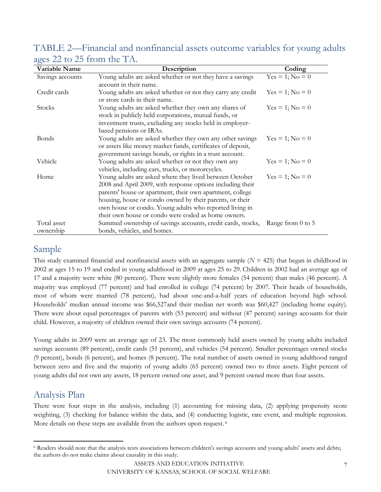| Variable Name    | Description                                                                                                                                                                                                                                                                                                                                                      | Coding                |
|------------------|------------------------------------------------------------------------------------------------------------------------------------------------------------------------------------------------------------------------------------------------------------------------------------------------------------------------------------------------------------------|-----------------------|
| Savings accounts | Young adults are asked whether or not they have a savings<br>account in their name.                                                                                                                                                                                                                                                                              | $Yes = 1; No = 0$     |
| Credit cards     | Young adults are asked whether or not they carry any credit<br>or store cards in their name.                                                                                                                                                                                                                                                                     | $Yes = 1; No = 0$     |
| Stocks           | Young adults are asked whether they own any shares of<br>stock in publicly held corporations, mutual funds, or<br>investment trusts, excluding any stocks held in employer-<br>based pensions or IRAs.                                                                                                                                                           | $Yes = 1; No = 0$     |
| <b>Bonds</b>     | Young adults are asked whether they own any other savings<br>or assets like money market funds, certificates of deposit,<br>government savings bonds, or rights in a trust account.                                                                                                                                                                              | $Yes = 1; No = 0$     |
| Vehicle          | Young adults are asked whether or not they own any<br>vehicles, including cars, trucks, or motorcycles.                                                                                                                                                                                                                                                          | $Yes = 1; No = 0$     |
| Home             | Young adults are asked where they lived between October<br>2008 and April 2009, with response options including their<br>parents' house or apartment, their own apartment, college<br>housing, house or condo owned by their parents, or their<br>own house or condo. Young adults who reported living in<br>their own house or condo were coded as home owners. | $Yes = 1; No = 0$     |
| Total asset      | Summed ownership of savings accounts, credit cards, stocks,                                                                                                                                                                                                                                                                                                      | Range from $0$ to $5$ |
| ownership        | bonds, vehicles, and homes.                                                                                                                                                                                                                                                                                                                                      |                       |

TABLE 2—Financial and nonfinancial assets outcome variables for young adults ages 22 to 25 from the TA.

## Sample

This study examined financial and nonfinancial assets with an aggregate sample  $(N = 425)$  that began in childhood in 2002 at ages 15 to 19 and ended in young adulthood in 2009 at ages 25 to 29. Children in 2002 had an average age of 17 and a majority were white (80 percent). There were slightly more females (54 percent) than males (46 percent). A majority was employed (77 percent) and had enrolled in college (74 percent) by 2007. Their heads of households, most of whom were married (78 percent), had about one-and-a-half years of education beyond high school. Households' median annual income was \$66,527and their median net worth was \$60,427 (including home equity). There were about equal percentages of parents with (53 percent) and without (47 percent) savings accounts for their child. However, a majority of children owned their own savings accounts (74 percent).

Young adults in 2009 were an average age of 23. The most commonly held assets owned by young adults included savings accounts (89 percent), credit cards (51 percent), and vehicles (54 percent). Smaller percentages owned stocks (9 percent), bonds (6 percent), and homes (8 percent). The total number of assets owned in young adulthood ranged between zero and five and the majority of young adults (65 percent) owned two to three assets. Eight percent of young adults did not own any assets, 18 percent owned one asset, and 9 percent owned more than four assets.

## Analysis Plan

 $\overline{\phantom{a}}$ 

There were four steps in the analysis, including (1) accounting for missing data, (2) applying propensity score weighting, (3) checking for balance within the data, and (4) conducting logistic, rare event, and multiple regression. More details on these steps are available from the authors upon request.<sup>6</sup>

<sup>6</sup> Readers should note that the analysis tests associations between children's savings accounts and young adults' assets and debts; the authors do not make claims about causality in this study.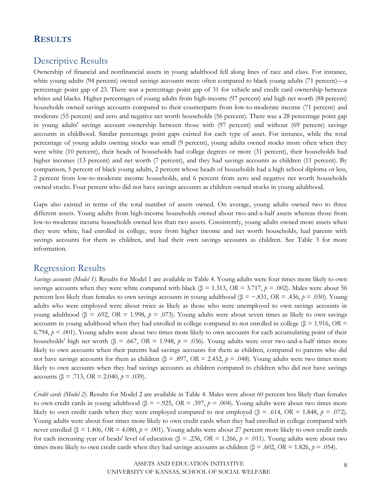#### **RESULTS**

## Descriptive Results

Ownership of financial and nonfinancial assets in young adulthood fell along lines of race and class. For instance, white young adults (94 percent) owned savings accounts more often compared to black young adults (71 percent)—a percentage point gap of 23. There was a percentage point gap of 31 for vehicle and credit card ownership between whites and blacks. Higher percentages of young adults from high-income (97 percent) and high net worth (88 percent) households owned savings accounts compared to their counterparts from low-to-moderate income (71 percent) and moderate (55 percent) and zero and negative net worth households (56 percent). There was a 28 percentage point gap in young adults' savings account ownership between those with (97 percent) and without (69 percent) savings accounts in childhood. Similar percentage point gaps existed for each type of asset. For instance, while the total percentage of young adults owning stocks was small (9 percent), young adults owned stocks more often when they were white (10 percent), their heads of households had college degrees or more (31 percent), their households had higher incomes (13 percent) and net worth (7 percent), and they had savings accounts as children (11 percent). By comparison, 5 percent of black young adults, 2 percent whose heads of households had a high school diploma or less, 2 percent from low-to-moderate income households, and 6 percent from zero and negative net worth households owned stocks. Four percent who did not have savings accounts as children owned stocks in young adulthood.

Gaps also existed in terms of the total number of assets owned. On average, young adults owned two to three different assets. Young adults from high-income households owned about two-and-a-half assets whereas those from low-to-moderate income households owned less than two assets. Consistently, young adults owned more assets when they were white, had enrolled in college, were from higher income and net worth households, had parents with savings accounts for them as children, and had their own savings accounts as children. See Table 3 for more information.

## Regression Results

*Savings accounts (Model 1)*. Results for Model 1 are available in Table 4. Young adults were four times more likely to own savings accounts when they were white compared with black (β = 1.313, *OR* = 3.717, *p* = .002). Males were about 56 percent less likely than females to own savings accounts in young adulthood (β = −.831, *OR* = .436, *p* = .030). Young adults who were employed were about twice as likely as those who were unemployed to own savings accounts in young adulthood (β = .692, *OR* = 1.998,  $p = .073$ ). Young adults were about seven times as likely to own savings accounts in young adulthood when they had enrolled in college compared to not enrolled in college ( $\beta$  = 1.916, *OR* = 6.794,  $p < .001$ ). Young adults were about two times more likely to own accounts for each accumulating point of their households' high net worth (β = .667, *OR* = 1.948, *p* = .036). Young adults were over two-and-a-half times more likely to own accounts when their parents had savings accounts for them as children, compared to parents who did not have savings accounts for them as children (β = .897,  $OR = 2.452$ ,  $p = .048$ ). Young adults were two times more likely to own accounts when they had savings accounts as children compared to children who did not have savings accounts (β = .713, *OR* = 2.040, *p* = .039).

*Credit cards (Model 2)*. Results for Model 2 are available in Table 4. Males were about 60 percent less likely than females to own credit cards in young adulthood (β = -.925, *OR* = .397,  $p = .004$ ). Young adults were about two times more likely to own credit cards when they were employed compared to not employed (β = .614, *OR* = 1.848, *p* = .072). Young adults were about four times more likely to own credit cards when they had enrolled in college compared with never enrolled (β = 1.406, *OR* = 4.080, *p* = .001). Young adults were about 27 percent more likely to own credit cards for each increasing year of heads' level of education (β = .236, *OR* = 1.266, *p* = .011). Young adults were about two times more likely to own credit cards when they had savings accounts as children ( $\beta$  = .602, *OR* = 1.826,  $p$  = .054).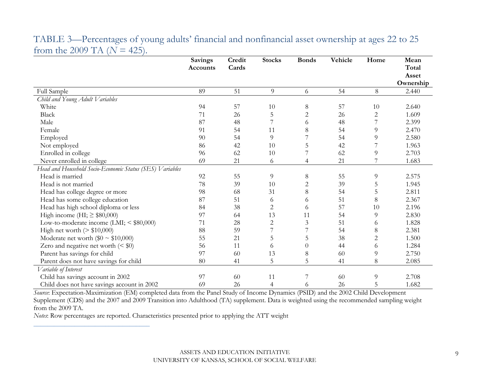# TABLE 3—Percentages of young adults' financial and nonfinancial asset ownership at ages 22 to 25 from the 2009 TA ( $N = 425$ ).

|                                                          | <b>Savings</b> | Credit | <b>Stocks</b>  | <b>Bonds</b>   | Vehicle | Home           | Mean      |
|----------------------------------------------------------|----------------|--------|----------------|----------------|---------|----------------|-----------|
|                                                          | Accounts       | Cards  |                |                |         |                | Total     |
|                                                          |                |        |                |                |         |                | Asset     |
|                                                          |                |        |                |                |         |                | Ownership |
| Full Sample                                              | 89             | 51     | 9              | 6              | 54      | $8\,$          | 2.440     |
| Child and Young Adult Variables                          |                |        |                |                |         |                |           |
| White                                                    | 94             | 57     | 10             | $\,8\,$        | 57      | 10             | 2.640     |
| <b>Black</b>                                             | 71             | 26     | 5              | $\overline{c}$ | 26      | $\overline{c}$ | 1.609     |
| Male                                                     | 87             | 48     | 7              | 6              | 48      | $\overline{7}$ | 2.399     |
| Female                                                   | 91             | 54     | 11             | 8              | 54      | $\overline{9}$ | 2.470     |
| Employed                                                 | 90             | 54     | 9              |                | 54      | 9              | 2.580     |
| Not employed                                             | 86             | 42     | 10             | 5              | 42      | 7              | 1.963     |
| Enrolled in college                                      | 96             | 62     | 10             |                | 62      | 9              | 2.703     |
| Never enrolled in college                                | 69             | 21     | 6              | 4              | 21      | $\overline{7}$ | 1.683     |
| Head and Household Socio-Economic Status (SES) Variables |                |        |                |                |         |                |           |
| Head is married                                          | 92             | 55     | 9              | $8\,$          | 55      | $\overline{9}$ | 2.575     |
| Head is not married                                      | 78             | 39     | 10             | $\overline{c}$ | 39      | 5              | 1.945     |
| Head has college degree or more                          | 98             | 68     | 31             | 8              | 54      | 5              | 2.811     |
| Head has some college education                          | 87             | 51     | 6              | 6              | 51      | 8              | 2.367     |
| Head has high school diploma or less                     | 84             | 38     | $\overline{c}$ | 6              | 57      | 10             | 2.196     |
| High income (HI; $\geq$ \$80,000)                        | 97             | 64     | 13             | 11             | 54      | 9              | 2.830     |
| Low-to-moderate income $(LMI; < $80,000)$                | 71             | 28     | $\sqrt{2}$     | $\mathfrak{Z}$ | 51      | 6              | 1.828     |
| High net worth $($ > \$10,000)                           | 88             | 59     | $\overline{7}$ | 7              | 54      | $8\,$          | 2.381     |
| Moderate net worth ( $$0 \sim $10,000$ )                 | 55             | 21     | 5              | 5              | 38      | $\overline{c}$ | 1.500     |
| Zero and negative net worth $(<$ \$0)                    | 56             | 11     | 6              | $\theta$       | 44      | 6              | 1.284     |
| Parent has savings for child                             | 97             | 60     | 13             | 8              | 60      | $\overline{9}$ | 2.750     |
| Parent does not have savings for child                   | 80             | 41     | 5              | 5              | 41      | 8              | 2.085     |
| Variable of Interest                                     |                |        |                |                |         |                |           |
| Child has savings account in 2002                        | 97             | 60     | 11             |                | 60      | 9              | 2.708     |
| Child does not have savings account in 2002              | 69             | 26     | $\overline{4}$ | 6              | 26      | 5              | 1.682     |

*Source*: Expectation-Maximization (EM) completed data from the Panel Study of Income Dynamics (PSID) and the 2002 Child Development Supplement (CDS) and the 2007 and 2009 Transition into Adulthood (TA) supplement. Data is weighted using the recommended sampling weight from the 2009 TA.

*Notes*: Row percentages are reported. Characteristics presented prior to applying the ATT weight

\_\_\_\_\_\_\_\_\_\_\_\_\_\_\_\_\_\_\_\_\_\_\_\_\_\_\_\_\_\_\_\_\_\_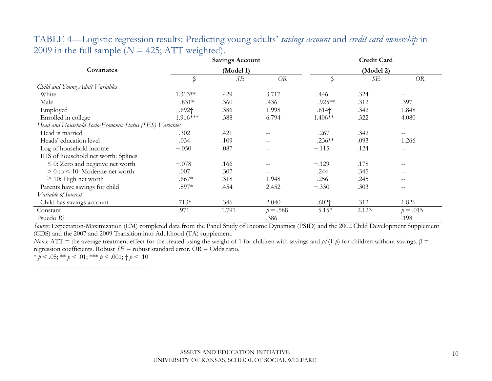| TABLE 4—Logistic regression results: Predicting young adults' savings account and credit card ownership in |  |  |
|------------------------------------------------------------------------------------------------------------|--|--|
| 2009 in the full sample ( $N = 425$ ; ATT weighted).                                                       |  |  |

|                                                          |           | <b>Savings Account</b> |            | <b>Credit Card</b><br>(Model 2) |       |                   |  |
|----------------------------------------------------------|-----------|------------------------|------------|---------------------------------|-------|-------------------|--|
| Covariates                                               |           | (Model 1)              |            |                                 |       |                   |  |
|                                                          | ß         | SE                     | <b>OR</b>  | ß                               | SE    | <b>OR</b>         |  |
| Child and Young Adult Variables                          |           |                        |            |                                 |       |                   |  |
| White                                                    | $1.313**$ | .429                   | 3.717      | .446                            | .324  | $- -$             |  |
| Male                                                     | $-.831*$  | .360                   | .436       | $-.925**$                       | .312  | .397              |  |
| Employed                                                 | $.692+$   | .386                   | 1.998      | $.614+$                         | .342  | 1.848             |  |
| Enrolled in college                                      | 1.916***  | .388                   | 6.794      | 1.406**                         | .322  | 4.080             |  |
| Head and Household Socio-Economic Status (SES) Variables |           |                        |            |                                 |       |                   |  |
| Head is married                                          | .302      | .421                   |            | $-.267$                         | .342  | $\qquad \qquad -$ |  |
| Heads' education level                                   | .034      | .109                   | $- -$      | $.236**$                        | .093  | 1.266             |  |
| Log of household income                                  | $-.050$   | .087                   |            | $-.115$                         | .124  | $\qquad \qquad -$ |  |
| IHS of household net worth: Splines                      |           |                        |            |                                 |       |                   |  |
| $\leq$ 0: Zero and negative net worth                    | $-.078$   | .166                   |            | $-.129$                         | .178  | $-$               |  |
| $> 0$ to $< 10$ : Moderate net worth                     | .007      | .307                   | $- -$      | .244                            | .345  | $- -$             |  |
| $\geq$ 10: High net worth                                | $.667*$   | .318                   | 1.948      | .256                            | .245  | $- -$             |  |
| Parents have savings for child                           | $.897*$   | .454                   | 2.452      | $-.330$                         | .303  | $- -$             |  |
| Variable of Interest                                     |           |                        |            |                                 |       |                   |  |
| Child has savings account                                | $.713*$   | .346                   | 2.040      | $.602+$                         | .312  | 1.826             |  |
| Constant                                                 | $-.971$   | 1.791                  | $p = .588$ | $-5.157$                        | 2.123 | $p = .015$        |  |
| Psuedo R <sup>2</sup>                                    |           |                        | .386       |                                 |       | .198              |  |

*Source*: Expectation-Maximization (EM) completed data from the Panel Study of Income Dynamics (PSID) and the 2002 Child Development Supplement (CDS) and the 2007 and 2009 Transition into Adulthood (TA) supplement.

*Notes*: ATT = the average treatment effect for the treated using the weight of 1 for children with savings and  $p/(1-p)$  for children without savings.  $\beta$  = regression coefficients. Robust *SE* = robust standard error. OR = Odds ratio.

\*  $p < .05$ ; \*\*  $p < .01$ ; \*\*\*  $p < .001$ ;  $\uparrow p < .10$ \_\_\_\_\_\_\_\_\_\_\_\_\_\_\_\_\_\_\_\_\_\_\_\_\_\_\_\_\_\_\_\_\_\_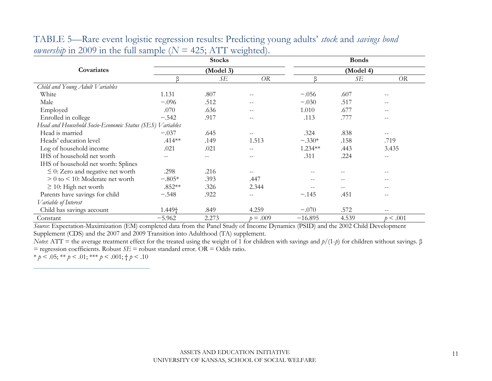|                                                          |          | <b>Stocks</b> |            |           | <b>Bonds</b> |                   |
|----------------------------------------------------------|----------|---------------|------------|-----------|--------------|-------------------|
| Covariates                                               |          | (Model 3)     |            |           | (Model 4)    |                   |
|                                                          |          | SE            | <b>OR</b>  |           | SE           | <b>OR</b>         |
| Child and Young Adult Variables                          |          |               |            |           |              |                   |
| White                                                    | 1.131    | .807          |            | $-.056$   | .607         | $-$               |
| Male                                                     | $-.096$  | .512          |            | $-.030$   | .517         |                   |
| Employed                                                 | .070     | .636          |            | 1.010     | .677         |                   |
| Enrolled in college                                      | $-.542$  | .917          |            | .113      | .777         | $- -$             |
| Head and Household Socio-Economic Status (SES) Variables |          |               |            |           |              |                   |
| Head is married                                          | $-.037$  | .645          |            | .324      | .838         | $\qquad \qquad -$ |
| Heads' education level                                   | .414**   | .149          | 1.513      | $-.330*$  | .158         | .719              |
| Log of household income                                  | .021     | .021          | $-$        | 1.234**   | .443         | 3.435             |
| IHS of household net worth                               |          |               |            | .311      | .224         | $-$               |
| IHS of household net worth: Splines                      |          |               |            |           |              |                   |
| $\leq$ 0: Zero and negative net worth                    | .298     | .216          |            |           |              |                   |
| $> 0$ to $< 10$ : Moderate net worth                     | $-.805*$ | .393          | .447       |           |              | $-$               |
| $\geq$ 10: High net worth                                | $.852**$ | .326          | 2.344      |           |              |                   |
| Parents have savings for child                           | $-.548$  | .922          |            | $-.145$   | .451         |                   |
| Variable of Interest                                     |          |               |            |           |              |                   |
| Child has savings account                                | 1.449+   | .849          | 4.259      | $-.070$   | .572         |                   |
| Constant                                                 | $-5.962$ | 2.273         | $p = .009$ | $-16.895$ | 4.539        | p < .001          |

TABLE 5—Rare event logistic regression results: Predicting young adults' *stock* and *savings bond ownership* in 2009 in the full sample  $(N = 425$ ; ATT weighted).

*Source*: Expectation-Maximization (EM) completed data from the Panel Study of Income Dynamics (PSID) and the 2002 Child Development Supplement (CDS) and the 2007 and 2009 Transition into Adulthood (TA) supplement.

*Notes*: ATT = the average treatment effect for the treated using the weight of 1 for children with savings and *p*/(1-*p*) for children without savings. β = regression coefficients. Robust *SE* = robust standard error. OR = Odds ratio.

\* *p* < .05; \*\* *p* < .01; \*\*\* *p* < .001;  $\dagger$  *p* < .10 \_\_\_\_\_\_\_\_\_\_\_\_\_\_\_\_\_\_\_\_\_\_\_\_\_\_\_\_\_\_\_\_\_\_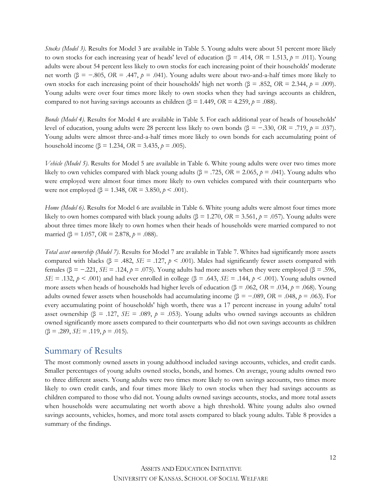*Stocks (Model 3)*. Results for Model 3 are available in Table 5. Young adults were about 51 percent more likely to own stocks for each increasing year of heads' level of education (β = .414, *OR* = 1.513, *p* = .011). Young adults were about 54 percent less likely to own stocks for each increasing point of their households' moderate net worth (β = -.805, *OR* = .447,  $p = .041$ ). Young adults were about two-and-a-half times more likely to own stocks for each increasing point of their households' high net worth (β = .852, *OR* = 2.344, *p* = .009). Young adults were over four times more likely to own stocks when they had savings accounts as children, compared to not having savings accounts as children (β = 1.449, *OR* = 4.259, *p* = .088).

*Bonds (Model 4)*. Results for Model 4 are available in Table 5. For each additional year of heads of households' level of education, young adults were 28 percent less likely to own bonds (β = −.330, *OR* = .719, *p* = .037). Young adults were almost three-and-a-half times more likely to own bonds for each accumulating point of household income (β = 1.234, *OR* = 3.435, *p* = .005).

*Vehicle (Model 5)*. Results for Model 5 are available in Table 6. White young adults were over two times more likely to own vehicles compared with black young adults ( $\beta = .725$ ,  $OR = 2.065$ ,  $p = .041$ ). Young adults who were employed were almost four times more likely to own vehicles compared with their counterparts who were not employed (β = 1.348, *OR* = 3.850, *p* < .001).

*Home (Model 6)*. Results for Model 6 are available in Table 6. White young adults were almost four times more likely to own homes compared with black young adults (β = 1.270, *OR* = 3.561, *p* = .057). Young adults were about three times more likely to own homes when their heads of households were married compared to not married ( $\beta$  = 1.057, *OR* = 2.878,  $p$  = .088).

*Total asset ownership (Model 7)*. Results for Model 7 are available in Table 7. Whites had significantly more assets compared with blacks (β = .482, *SE* = .127,  $p$  < .001). Males had significantly fewer assets compared with females (β = −.221, *SE* = .124, *p* = .075). Young adults had more assets when they were employed (β = .596, *SE* = .132,  $p \leq .001$  and had ever enrolled in college ( $\beta$  = .643, *SE* = .144,  $p \leq .001$ ). Young adults owned more assets when heads of households had higher levels of education ( $\beta = .062$ ,  $OR = .034$ ,  $p = .068$ ). Young adults owned fewer assets when households had accumulating income (β = −.089, *OR* = .048, *p* = .063). For every accumulating point of households' high worth, there was a 17 percent increase in young adults' total asset ownership (β = .127, *SE* = .089, *p* = .053). Young adults who owned savings accounts as children owned significantly more assets compared to their counterparts who did not own savings accounts as children  $(\beta = .289, SE = .119, p = .015).$ 

#### Summary of Results

The most commonly owned assets in young adulthood included savings accounts, vehicles, and credit cards. Smaller percentages of young adults owned stocks, bonds, and homes. On average, young adults owned two to three different assets. Young adults were two times more likely to own savings accounts, two times more likely to own credit cards, and four times more likely to own stocks when they had savings accounts as children compared to those who did not. Young adults owned savings accounts, stocks, and more total assets when households were accumulating net worth above a high threshold. White young adults also owned savings accounts, vehicles, homes, and more total assets compared to black young adults. Table 8 provides a summary of the findings.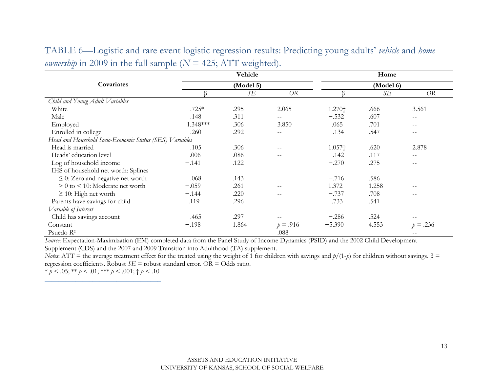|                                                          |            | Vehicle   |            | Home<br>(Model 6)  |       |            |  |
|----------------------------------------------------------|------------|-----------|------------|--------------------|-------|------------|--|
| Covariates                                               |            | (Model 5) |            |                    |       |            |  |
|                                                          | ß          | SE        | <b>OR</b>  |                    | SE    | <b>OR</b>  |  |
| Child and Young Adult Variables                          |            |           |            |                    |       |            |  |
| White                                                    | $.725*$    | .295      | 2.065      | 1.270 <sup>+</sup> | .666  | 3.561      |  |
| Male                                                     | .148       | .311      | $--$       | $-.532$            | .607  | $-$        |  |
| Employed                                                 | $1.348***$ | .306      | 3.850      | .065               | .701  | $-$        |  |
| Enrolled in college                                      | .260       | .292      | $- -$      | $-.134$            | .547  | $- -$      |  |
| Head and Household Socio-Economic Status (SES) Variables |            |           |            |                    |       |            |  |
| Head is married                                          | .105       | .306      | $-$        | $1.057+$           | .620  | 2.878      |  |
| Heads' education level                                   | $-.006$    | .086      | $- -$      | $-.142$            | .117  | --         |  |
| Log of household income                                  | $-.141$    | .122      |            | $-.270$            | .275  |            |  |
| IHS of household net worth: Splines                      |            |           |            |                    |       |            |  |
| $\leq$ 0: Zero and negative net worth                    | .068       | .143      |            | $-.716$            | .586  |            |  |
| $> 0$ to $< 10$ : Moderate net worth                     | $-.059$    | .261      | $-$        | 1.372              | 1.258 | --         |  |
| $\geq$ 10: High net worth                                | $-.144$    | .220      | $- -$      | $-.737$            | .708  |            |  |
| Parents have savings for child                           | .119       | .296      |            | .733               | .541  |            |  |
| Variable of Interest                                     |            |           |            |                    |       |            |  |
| Child has savings account                                | .465       | .297      | --         | $-.286$            | .524  | $-$        |  |
| Constant                                                 | $-.198$    | 1.864     | $p = .916$ | $-5.390$           | 4.553 | $p = .236$ |  |
| Psuedo R <sup>2</sup>                                    |            |           | .088       |                    |       |            |  |

TABLE 6—Logistic and rare event logistic regression results: Predicting young adults' *vehicle* and *home ownership* in 2009 in the full sample  $(N = 425$ ; ATT weighted).

*Source*: Expectation-Maximization (EM) completed data from the Panel Study of Income Dynamics (PSID) and the 2002 Child Development Supplement (CDS) and the 2007 and 2009 Transition into Adulthood (TA) supplement.

*Notes*: ATT = the average treatment effect for the treated using the weight of 1 for children with savings and *p*/(1-*p*) for children without savings. β = regression coefficients. Robust *SE* = robust standard error. OR = Odds ratio.

\*  $p < .05$ ; \*\*  $p < .01$ ; \*\*\*  $p < .001$ ;  $\uparrow p < .10$ \_\_\_\_\_\_\_\_\_\_\_\_\_\_\_\_\_\_\_\_\_\_\_\_\_\_\_\_\_\_\_\_\_\_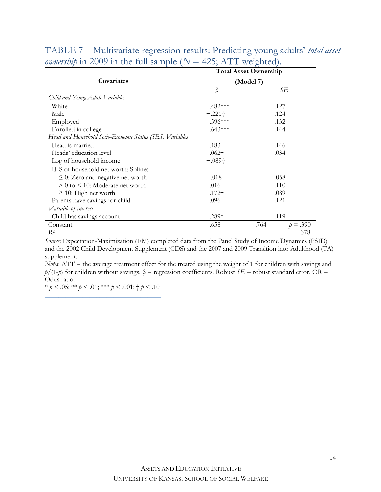|                                                          | $\frac{1}{2}$<br><b>Total Asset Ownership</b> |                    |  |  |  |
|----------------------------------------------------------|-----------------------------------------------|--------------------|--|--|--|
| Covariates                                               |                                               | (Model 7)          |  |  |  |
|                                                          | ß                                             | SE                 |  |  |  |
| Child and Young Adult Variables                          |                                               |                    |  |  |  |
| White                                                    | .482***                                       | .127               |  |  |  |
| Male                                                     | $-.221+$                                      | .124               |  |  |  |
| Employed                                                 | .596***                                       | .132               |  |  |  |
| Enrolled in college                                      | $.643***$                                     | .144               |  |  |  |
| Head and Household Socio-Economic Status (SES) Variables |                                               |                    |  |  |  |
| Head is married                                          | .183                                          | .146               |  |  |  |
| Heads' education level                                   | .062 <sub>†</sub>                             | .034               |  |  |  |
| Log of household income                                  | $-.089+$                                      |                    |  |  |  |
| IHS of household net worth: Splines                      |                                               |                    |  |  |  |
| $\leq$ 0: Zero and negative net worth                    | $-.018$                                       | .058               |  |  |  |
| $> 0$ to $< 10$ : Moderate net worth                     | .016                                          | .110               |  |  |  |
| $\geq$ 10: High net worth                                | .172 <sub>†</sub>                             | .089               |  |  |  |
| Parents have savings for child                           | .096                                          | .121               |  |  |  |
| Variable of Interest                                     |                                               |                    |  |  |  |
| Child has savings account                                | $.289*$                                       | .119               |  |  |  |
| Constant                                                 | .658                                          | .764<br>$p = .390$ |  |  |  |
| $R^2$                                                    |                                               | .378               |  |  |  |

TABLE 7—Multivariate regression results: Predicting young adults' *total asset ownership* in 2009 in the full sample  $(N = 425; ATT$  weighted).

*Source*: Expectation-Maximization (EM) completed data from the Panel Study of Income Dynamics (PSID) and the 2002 Child Development Supplement (CDS) and the 2007 and 2009 Transition into Adulthood (TA) supplement.

*Notes*: ATT = the average treatment effect for the treated using the weight of 1 for children with savings and *p*/(1-*p*) for children without savings. β = regression coefficients. Robust *SE* = robust standard error. OR = Odds ratio.

\* *p* < .05; \*\* *p* < .01; \*\*\* *p* < .001;  $\dagger$  *p* < .10 \_\_\_\_\_\_\_\_\_\_\_\_\_\_\_\_\_\_\_\_\_\_\_\_\_\_\_\_\_\_\_\_\_\_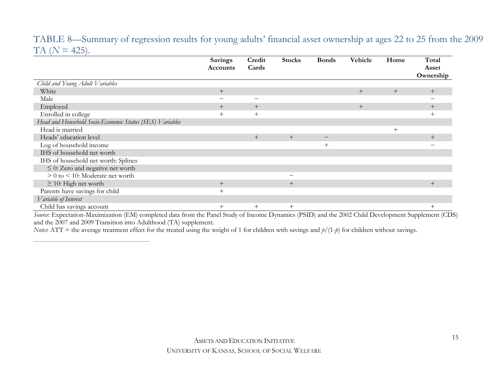## TABLE 8—Summary of regression results for young adults' financial asset ownership at ages 22 to 25 from the 2009 TA ( $N = 425$ ).

|                                                          | <b>Savings</b><br><b>Accounts</b> | Credit<br>Cards | <b>Stocks</b> | <b>Bonds</b> | Vehicle | Home   | Total<br>Asset |
|----------------------------------------------------------|-----------------------------------|-----------------|---------------|--------------|---------|--------|----------------|
|                                                          |                                   |                 |               |              |         |        | Ownership      |
| Child and Young Adult Variables                          |                                   |                 |               |              |         |        |                |
| White                                                    | $^{+}$                            |                 |               |              | $^{+}$  | $^{+}$ | $^{+}$         |
| Male                                                     |                                   |                 |               |              |         |        |                |
| Employed                                                 | $^{+}$                            | $^{+}$          |               |              | $^{+}$  |        | $^{+}$         |
| Enrolled in college                                      | $^{+}$                            | $^{+}$          |               |              |         |        | $^{+}$         |
| Head and Household Socio-Economic Status (SES) Variables |                                   |                 |               |              |         |        |                |
| Head is married                                          |                                   |                 |               |              |         | $^+$   |                |
| Heads' education level                                   |                                   | $+$             | $^{+}$        |              |         |        | $^{+}$         |
| Log of household income                                  |                                   |                 |               | $+$          |         |        |                |
| IHS of household net worth                               |                                   |                 |               |              |         |        |                |
| IHS of household net worth: Splines                      |                                   |                 |               |              |         |        |                |
| $\leq$ 0: Zero and negative net worth                    |                                   |                 |               |              |         |        |                |
| $> 0$ to $< 10$ : Moderate net worth                     |                                   |                 |               |              |         |        |                |
| $\geq$ 10: High net worth                                | $+$                               |                 | $^{+}$        |              |         |        | $^{+}$         |
| Parents have savings for child                           | $^{+}$                            |                 |               |              |         |        |                |
| Variable of Interest                                     |                                   |                 |               |              |         |        |                |
| Child has savings account                                | $^{+}$                            | $^{+}$          | $^{+}$        |              |         |        | $^{+}$         |

*Source*: Expectation-Maximization (EM) completed data from the Panel Study of Income Dynamics (PSID) and the 2002 Child Development Supplement (CDS) and the 2007 and 2009 Transition into Adulthood (TA) supplement.

*Notes*: ATT = the average treatment effect for the treated using the weight of 1 for children with savings and *p*/(1-*p*) for children without savings.

\_\_\_\_\_\_\_\_\_\_\_\_\_\_\_\_\_\_\_\_\_\_\_\_\_\_\_\_\_\_\_\_\_\_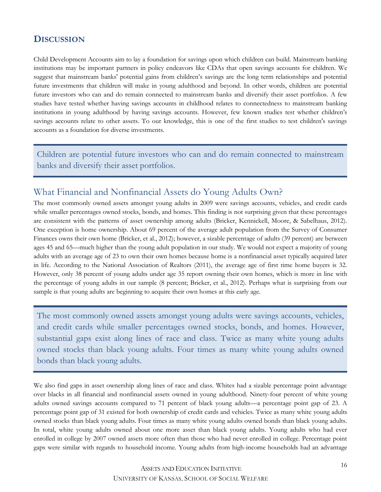## **DISCUSSION**

Child Development Accounts aim to lay a foundation for savings upon which children can build. Mainstream banking institutions may be important partners in policy endeavors like CDAs that open savings accounts for children. We suggest that mainstream banks' potential gains from children's savings are the long term relationships and potential future investments that children will make in young adulthood and beyond. In other words, children are potential future investors who can and do remain connected to mainstream banks and diversify their asset portfolios. A few studies have tested whether having savings accounts in childhood relates to connectedness to mainstream banking institutions in young adulthood by having savings accounts. However, few known studies test whether children's savings accounts relate to other assets. To our knowledge, this is one of the first studies to test children's savings accounts as a foundation for diverse investments.

Children are potential future investors who can and do remain connected to mainstream banks and diversify their asset portfolios.

## What Financial and Nonfinancial Assets do Young Adults Own?

The most commonly owned assets amongst young adults in 2009 were savings accounts, vehicles, and credit cards while smaller percentages owned stocks, bonds, and homes. This finding is not surprising given that these percentages are consistent with the patterns of asset ownership among adults (Bricker, Kennickell, Moore, & Sabelhaus, 2012). One exception is home ownership. About 69 percent of the average adult population from the Survey of Consumer Finances owns their own home (Bricker, et al., 2012); however, a sizable percentage of adults (39 percent) are between ages 45 and 65—much higher than the young adult population in our study. We would not expect a majority of young adults with an average age of 23 to own their own homes because home is a nonfinancial asset typically acquired later in life. According to the National Association of Realtors (2011), the average age of first time home buyers is 32. However, only 38 percent of young adults under age 35 report owning their own homes, which is more in line with the percentage of young adults in our sample (8 percent; Bricker, et al., 2012). Perhaps what is surprising from our sample is that young adults are beginning to acquire their own homes at this early age.

The most commonly owned assets amongst young adults were savings accounts, vehicles, and credit cards while smaller percentages owned stocks, bonds, and homes. However, substantial gaps exist along lines of race and class. Twice as many white young adults owned stocks than black young adults. Four times as many white young adults owned bonds than black young adults.

We also find gaps in asset ownership along lines of race and class. Whites had a sizable percentage point advantage over blacks in all financial and nonfinancial assets owned in young adulthood. Ninety-four percent of white young adults owned savings accounts compared to 71 percent of black young adults—a percentage point gap of 23. A percentage point gap of 31 existed for both ownership of credit cards and vehicles. Twice as many white young adults owned stocks than black young adults. Four times as many white young adults owned bonds than black young adults. In total, white young adults owned about one more asset than black young adults. Young adults who had ever enrolled in college by 2007 owned assets more often than those who had never enrolled in college. Percentage point gaps were similar with regards to household income. Young adults from high-income households had an advantage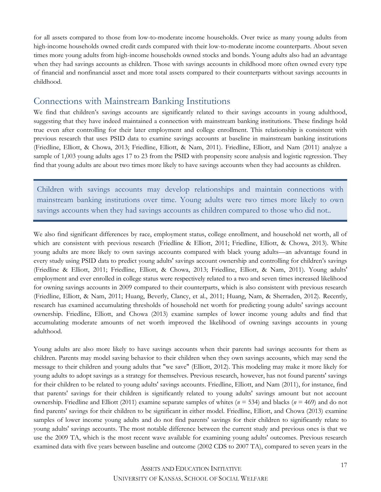for all assets compared to those from low-to-moderate income households. Over twice as many young adults from high-income households owned credit cards compared with their low-to-moderate income counterparts. About seven times more young adults from high-income households owned stocks and bonds. Young adults also had an advantage when they had savings accounts as children. Those with savings accounts in childhood more often owned every type of financial and nonfinancial asset and more total assets compared to their counterparts without savings accounts in childhood.

## Connections with Mainstream Banking Institutions

We find that children's savings accounts are significantly related to their savings accounts in young adulthood, suggesting that they have indeed maintained a connection with mainstream banking institutions. These findings hold true even after controlling for their later employment and college enrollment. This relationship is consistent with previous research that uses PSID data to examine savings accounts at baseline in mainstream banking institutions (Friedline, Elliott, & Chowa, 2013; Friedline, Elliott, & Nam, 2011). Friedline, Elliott, and Nam (2011) analyze a sample of 1,003 young adults ages 17 to 23 from the PSID with propensity score analysis and logistic regression. They find that young adults are about two times more likely to have savings accounts when they had accounts as children.

Children with savings accounts may develop relationships and maintain connections with mainstream banking institutions over time. Young adults were two times more likely to own savings accounts when they had savings accounts as children compared to those who did not..

We also find significant differences by race, employment status, college enrollment, and household net worth, all of which are consistent with previous research (Friedline & Elliott, 2011; Friedline, Elliott, & Chowa, 2013). White young adults are more likely to own savings accounts compared with black young adults—an advantage found in every study using PSID data to predict young adults' savings account ownership and controlling for children's savings (Friedline & Elliott, 2011; Friedline, Elliott, & Chowa, 2013; Friedline, Elliott, & Nam, 2011). Young adults' employment and ever enrolled in college status were respectively related to a two and seven times increased likelihood for owning savings accounts in 2009 compared to their counterparts, which is also consistent with previous research (Friedline, Elliott, & Nam, 2011; Huang, Beverly, Clancy, et al., 2011; Huang, Nam, & Sherraden, 2012). Recently, research has examined accumulating thresholds of household net worth for predicting young adults' savings account ownership. Friedline, Elliott, and Chowa (2013) examine samples of lower income young adults and find that accumulating moderate amounts of net worth improved the likelihood of owning savings accounts in young adulthood.

Young adults are also more likely to have savings accounts when their parents had savings accounts for them as children. Parents may model saving behavior to their children when they own savings accounts, which may send the message to their children and young adults that "we save" (Elliott, 2012). This modeling may make it more likely for young adults to adopt savings as a strategy for themselves. Previous research, however, has not found parents' savings for their children to be related to young adults' savings accounts. Friedline, Elliott, and Nam (2011), for instance, find that parents' savings for their children is significantly related to young adults' savings amount but not account ownership. Friedline and Elliott (2011) examine separate samples of whites (*n* = 534) and blacks (*n* = 469) and do not find parents' savings for their children to be significant in either model. Friedline, Elliott, and Chowa (2013) examine samples of lower income young adults and do not find parents' savings for their children to significantly relate to young adults' savings accounts. The most notable difference between the current study and previous ones is that we use the 2009 TA, which is the most recent wave available for examining young adults' outcomes. Previous research examined data with five years between baseline and outcome (2002 CDS to 2007 TA), compared to seven years in the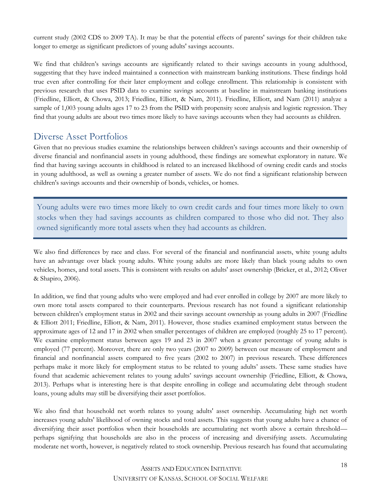current study (2002 CDS to 2009 TA). It may be that the potential effects of parents' savings for their children take longer to emerge as significant predictors of young adults' savings accounts.

We find that children's savings accounts are significantly related to their savings accounts in young adulthood, suggesting that they have indeed maintained a connection with mainstream banking institutions. These findings hold true even after controlling for their later employment and college enrollment. This relationship is consistent with previous research that uses PSID data to examine savings accounts at baseline in mainstream banking institutions (Friedline, Elliott, & Chowa, 2013; Friedline, Elliott, & Nam, 2011). Friedline, Elliott, and Nam (2011) analyze a sample of 1,003 young adults ages 17 to 23 from the PSID with propensity score analysis and logistic regression. They find that young adults are about two times more likely to have savings accounts when they had accounts as children.

## Diverse Asset Portfolios

Given that no previous studies examine the relationships between children's savings accounts and their ownership of diverse financial and nonfinancial assets in young adulthood, these findings are somewhat exploratory in nature. We find that having savings accounts in childhood is related to an increased likelihood of owning credit cards and stocks in young adulthood, as well as owning a greater number of assets. We do not find a significant relationship between children's savings accounts and their ownership of bonds, vehicles, or homes.

Young adults were two times more likely to own credit cards and four times more likely to own stocks when they had savings accounts as children compared to those who did not. They also owned significantly more total assets when they had accounts as children.

We also find differences by race and class. For several of the financial and nonfinancial assets, white young adults have an advantage over black young adults. White young adults are more likely than black young adults to own vehicles, homes, and total assets. This is consistent with results on adults' asset ownership (Bricker, et al., 2012; Oliver & Shapiro, 2006).

In addition, we find that young adults who were employed and had ever enrolled in college by 2007 are more likely to own more total assets compared to their counterparts. Previous research has not found a significant relationship between children's employment status in 2002 and their savings account ownership as young adults in 2007 (Friedline & Elliott 2011; Friedline, Elliott, & Nam, 2011). However, those studies examined employment status between the approximate ages of 12 and 17 in 2002 when smaller percentages of children are employed (roughly 25 to 17 percent). We examine employment status between ages 19 and 23 in 2007 when a greater percentage of young adults is employed (77 percent). Moreover, there are only two years (2007 to 2009) between our measure of employment and financial and nonfinancial assets compared to five years (2002 to 2007) in previous research. These differences perhaps make it more likely for employment status to be related to young adults' assets. These same studies have found that academic achievement relates to young adults' savings account ownership (Friedline, Elliott, & Chowa, 2013). Perhaps what is interesting here is that despite enrolling in college and accumulating debt through student loans, young adults may still be diversifying their asset portfolios.

We also find that household net worth relates to young adults' asset ownership. Accumulating high net worth increases young adults' likelihood of owning stocks and total assets. This suggests that young adults have a chance of diversifying their asset portfolios when their households are accumulating net worth above a certain threshold perhaps signifying that households are also in the process of increasing and diversifying assets. Accumulating moderate net worth, however, is negatively related to stock ownership. Previous research has found that accumulating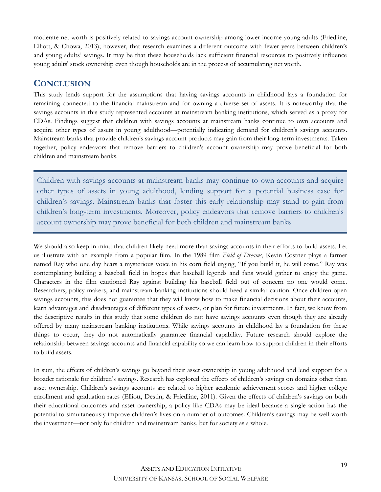moderate net worth is positively related to savings account ownership among lower income young adults (Friedline, Elliott, & Chowa, 2013); however, that research examines a different outcome with fewer years between children's and young adults' savings. It may be that these households lack sufficient financial resources to positively influence young adults' stock ownership even though households are in the process of accumulating net worth.

#### **CONCLUSION**

This study lends support for the assumptions that having savings accounts in childhood lays a foundation for remaining connected to the financial mainstream and for owning a diverse set of assets. It is noteworthy that the savings accounts in this study represented accounts at mainstream banking institutions, which served as a proxy for CDAs. Findings suggest that children with savings accounts at mainstream banks continue to own accounts and acquire other types of assets in young adulthood—potentially indicating demand for children's savings accounts. Mainstream banks that provide children's savings account products may gain from their long-term investments. Taken together, policy endeavors that remove barriers to children's account ownership may prove beneficial for both children and mainstream banks.

Children with savings accounts at mainstream banks may continue to own accounts and acquire other types of assets in young adulthood, lending support for a potential business case for children's savings. Mainstream banks that foster this early relationship may stand to gain from children's long-term investments. Moreover, policy endeavors that remove barriers to children's account ownership may prove beneficial for both children and mainstream banks.

We should also keep in mind that children likely need more than savings accounts in their efforts to build assets. Let us illustrate with an example from a popular film. In the 1989 film *Field of Dreams*, Kevin Costner plays a farmer named Ray who one day hears a mysterious voice in his corn field urging, "If you build it, he will come." Ray was contemplating building a baseball field in hopes that baseball legends and fans would gather to enjoy the game. Characters in the film cautioned Ray against building his baseball field out of concern no one would come. Researchers, policy makers, and mainstream banking institutions should heed a similar caution. Once children open savings accounts, this does not guarantee that they will know how to make financial decisions about their accounts, learn advantages and disadvantages of different types of assets, or plan for future investments. In fact, we know from the descriptive results in this study that some children do not have savings accounts even though they are already offered by many mainstream banking institutions. While savings accounts in childhood lay a foundation for these things to occur, they do not automatically guarantee financial capability. Future research should explore the relationship between savings accounts and financial capability so we can learn how to support children in their efforts to build assets.

In sum, the effects of children's savings go beyond their asset ownership in young adulthood and lend support for a broader rationale for children's savings. Research has explored the effects of children's savings on domains other than asset ownership. Children's savings accounts are related to higher academic achievement scores and higher college enrollment and graduation rates (Elliott, Destin, & Friedline, 2011). Given the effects of children's savings on both their educational outcomes and asset ownership, a policy like CDAs may be ideal because a single action has the potential to simultaneously improve children's lives on a number of outcomes. Children's savings may be well worth the investment—not only for children and mainstream banks, but for society as a whole.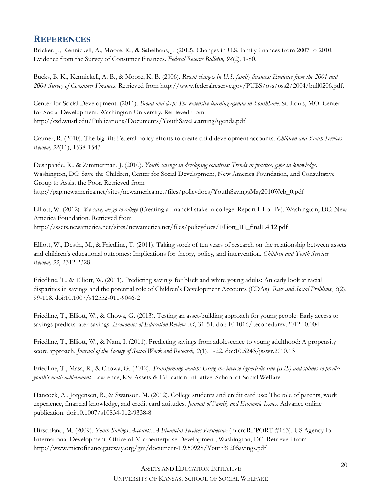#### **REFERENCES**

Bricker, J., Kennickell, A., Moore, K., & Sabelhaus, J. (2012). Changes in U.S. family finances from 2007 to 2010: Evidence from the Survey of Consumer Finances. *Federal Reserve Bulletin, 98*(2), 1-80.

Bucks, B. K., Kennickell, A. B., & Moore, K. B. (2006). *Recent changes in U.S. family finances: Evidence from the 2001 and 2004 Survey of Consumer Finances*. Retrieved from http://www.federalreserve.gov/PUBS/oss/oss2/2004/bull0206.pdf.

Center for Social Development. (2011). *Broad and deep: The extensive learning agenda in YouthSave*. St. Louis, MO: Center for Social Development, Washington University. Retrieved from http://csd.wustl.edu/Publications/Documents/YouthSaveLearningAgenda.pdf

Cramer, R. (2010). The big lift: Federal policy efforts to create child development accounts. *Children and Youth Services Review, 32*(11), 1538-1543.

Deshpande, R., & Zimmerman, J. (2010). *Youth savings in developing countries: Trends in practice, gaps in knowledge*. Washington, DC: Save the Children, Center for Social Development, New America Foundation, and Consultative Group to Assist the Poor. Retrieved from http://gap.newamerica.net/sites/newamerica.net/files/policydocs/YouthSavingsMay2010Web\_0.pdf

Elliott, W. (2012). *We save, we go to college* (Creating a financial stake in college: Report III of IV). Washington, DC: New America Foundation. Retrieved from http://assets.newamerica.net/sites/newamerica.net/files/policydocs/Elliott\_III\_final1.4.12.pdf

Elliott, W., Destin, M., & Friedline, T. (2011). Taking stock of ten years of research on the relationship between assets and children's educational outcomes: Implications for theory, policy, and intervention. *Children and Youth Services Review, 33*, 2312-2328.

Friedline, T., & Elliott, W. (2011). Predicting savings for black and white young adults: An early look at racial disparities in savings and the potential role of Children's Development Accounts (CDAs). *Race and Social Problems*, *3*(2), 99-118. doi:10.1007/s12552-011-9046-2

Friedline, T., Elliott, W., & Chowa, G. (2013). Testing an asset-building approach for young people: Early access to savings predicts later savings. *Economics of Education Review, 33*, 31-51. doi: [10.1016/j.econedurev.2012.10.004](http://dx.doi.org/10.1016/j.econedurev.2012.10.004)

Friedline, T., Elliott, W., & Nam, I. (2011). Predicting savings from adolescence to young adulthood: A propensity score approach. *Journal of the Society of Social Work and Research, 2*(1), 1-22. [doi:10.5243/jsswr.2010.13](http://dx.doi.org/10.5243%2Fjsswr.2010.13)

Friedline, T., Masa, R., & Chowa, G. (2012). *Transforming wealth: Using the inverse hyperbolic sine (IHS) and splines to predict youth's math achievement*. Lawrence, KS: Assets & Education Initiative, School of Social Welfare.

Hancock, A., Jorgensen, B., & Swanson, M. (2012). College students and credit card use: The role of parents, work experience, financial knowledge, and credit card attitudes. *Journal of Family and Economic Issues*. Advance online publication. doi:10.1007/s10834-012-9338-8

Hirschland, M. (2009). *Youth Savings Accounts: A Financial Services Perspective* (microREPORT #163). US Agency for International Development, Office of Microenterprise Development, Washington, DC. Retrieved from http://www.microfinancegateway.org/gm/document-1.9.50928/Youth%20Savings.pdf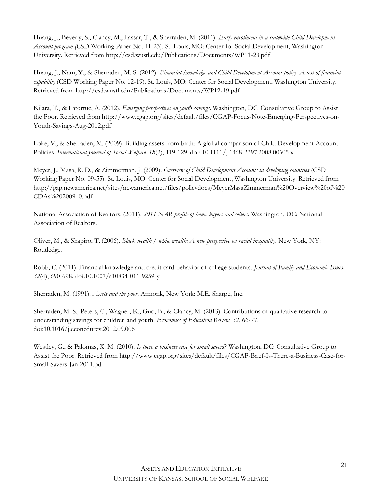Huang, J., Beverly, S., Clancy, M., Lassar, T., & Sherraden, M. (2011). *Early enrollment in a statewide Child Development Account program (*CSD Working Paper No. 11-23). St. Louis, MO: Center for Social Development, Washington University. Retrieved from http://csd.wustl.edu/Publications/Documents/WP11-23.pdf

Huang, J., Nam, Y., & Sherraden, M. S. (2012). *Financial knowledge and Child Development Account policy: A test of financial capability* (CSD Working Paper No. 12-19). St. Louis, MO: Center for Social Development, Washington University. Retrieved from http://csd.wustl.edu/Publications/Documents/WP12-19.pdf

Kilara, T., & Latortue, A. (2012). *Emerging perspectives on youth savings*. Washington, DC: Consultative Group to Assist the Poor. Retrieved from http://www.cgap.org/sites/default/files/CGAP-Focus-Note-Emerging-Perspectives-on-Youth-Savings-Aug-2012.pdf

Loke, V., & Sherraden, M. (2009). Building assets from birth: A global comparison of Child Development Account Policies. *International Journal of Social Welfare, 18*(2), 119-129. doi: 10.1111/j.1468-2397.2008.00605.x

Meyer, J., Masa, R. D., & Zimmerman, J. (2009). *Overview of Child Development Accounts in developing countries* (CSD Working Paper No. 09-55). St. Louis, MO: Center for Social Development, Washington University. Retrieved from http://gap.newamerica.net/sites/newamerica.net/files/policydocs/MeyerMasaZimmerman%20Overview%20of%20 CDAs%202009\_0.pdf

National Association of Realtors. (2011). *2011 NAR profile of home buyers and sellers*. Washington, DC: National Association of Realtors.

Oliver, M., & Shapiro, T. (2006). *Black wealth / white wealth: A new perspective on racial inequality*. New York, NY: Routledge.

Robb, C. (2011). Financial knowledge and credit card behavior of college students. *Journal of Family and Economic Issues, 32*(4), 690-698. doi:10.1007/s10834-011-9259-y

Sherraden, M. (1991). *Assets and the poor*. Armonk, New York: M.E. Sharpe, Inc.

Sherraden, M. S., Peters, C., Wagner, K., Guo, B., & Clancy, M. (2013). Contributions of qualitative research to understanding savings for children and youth. *Economics of Education Review, 32*, 66-77. doi[:10.1016/j.econedurev.2012.09.006](http://dx.doi.org/10.1016/j.econedurev.2012.09.006)

Westley, G., & Palomas, X. M. (2010). *Is there a business case for small savers*? Washington, DC: Consultative Group to Assist the Poor. Retrieved from http://www.cgap.org/sites/default/files/CGAP-Brief-Is-There-a-Business-Case-for-Small-Savers-Jan-2011.pdf